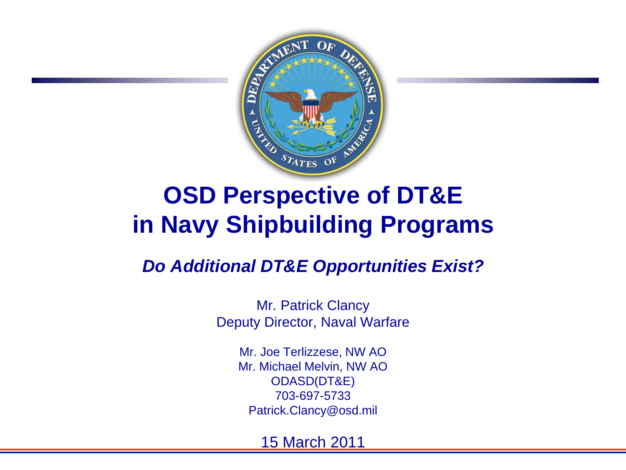

### **OSD Perspective of DT&E in Navy Shipbuilding Programs**

#### *Do Additional DT&E Opportunities Exist?*

Mr. Patrick Clancy Deputy Director, Naval Warfare

> Mr. Joe Terlizzese, NW AO Mr. Michael Melvin, NW AO ODASD(DT&E) 703-697-5733 Patrick.Clancy@osd.mil

> > 15 March 2011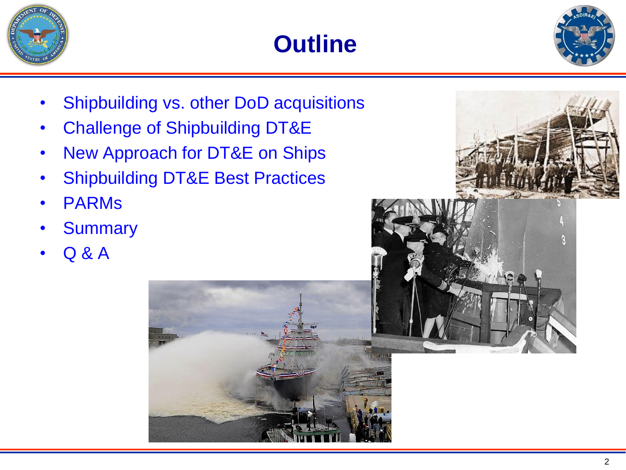





- Shipbuilding vs. other DoD acquisitions
- Challenge of Shipbuilding DT&E
- New Approach for DT&E on Ships
- **Shipbuilding DT&E Best Practices**
- PARMs
- **Summary**
- Q & A





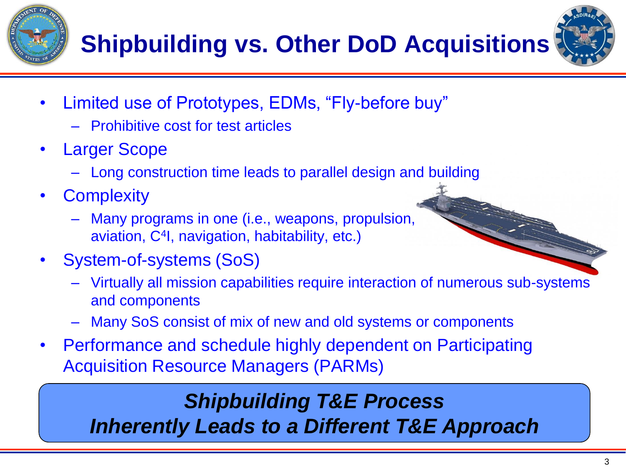



- Limited use of Prototypes, EDMs, "Fly-before buy"
	- Prohibitive cost for test articles
- **Larger Scope** 
	- Long construction time leads to parallel design and building
- **Complexity** 
	- Many programs in one (i.e., weapons, propulsion, aviation, C<sup>4</sup> I, navigation, habitability, etc.)
- System-of-systems (SoS)
	- Virtually all mission capabilities require interaction of numerous sub-systems and components
	- Many SoS consist of mix of new and old systems or components
- Performance and schedule highly dependent on Participating Acquisition Resource Managers (PARMs)

#### *Shipbuilding T&E Process Inherently Leads to a Different T&E Approach*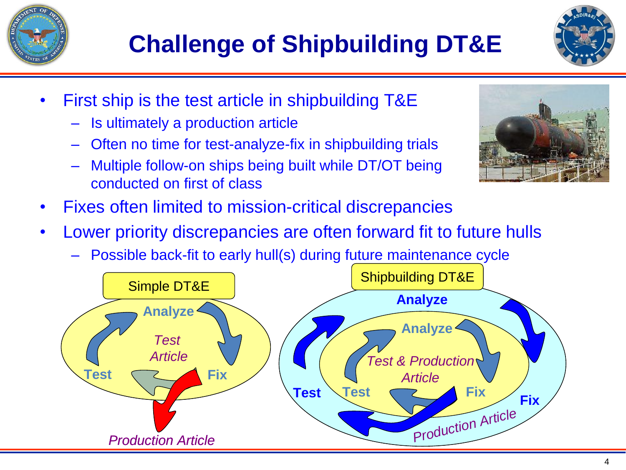

- First ship is the test article in shipbuilding T&E
	- Is ultimately a production article
	- Often no time for test-analyze-fix in shipbuilding trials
	- Multiple follow-on ships being built while DT/OT being conducted on first of class



- Fixes often limited to mission-critical discrepancies
- Lower priority discrepancies are often forward fit to future hulls
	- Possible back-fit to early hull(s) during future maintenance cycle

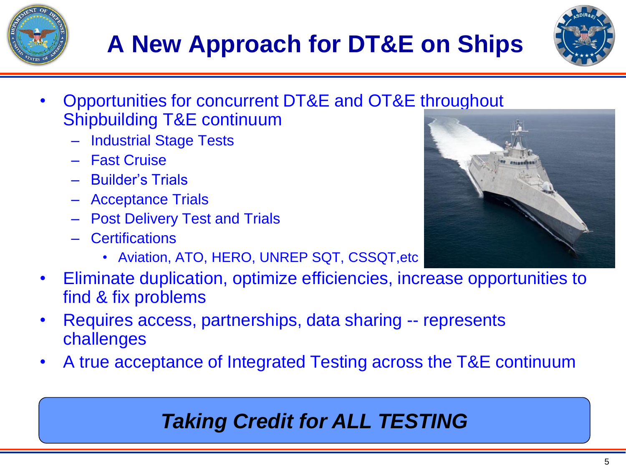# **A New Approach for DT&E on Ships**

- Opportunities for concurrent DT&E and OT&E throughout Shipbuilding T&E continuum
	- Industrial Stage Tests
	- Fast Cruise
	- Builder's Trials
	- Acceptance Trials
	- Post Delivery Test and Trials
	- Certifications
		- Aviation, ATO, HERO, UNREP SQT, CSSQT,etc
- Eliminate duplication, optimize efficiencies, increase opportunities to find & fix problems
- Requires access, partnerships, data sharing -- represents challenges
- A true acceptance of Integrated Testing across the T&E continuum

#### *Taking Credit for ALL TESTING*





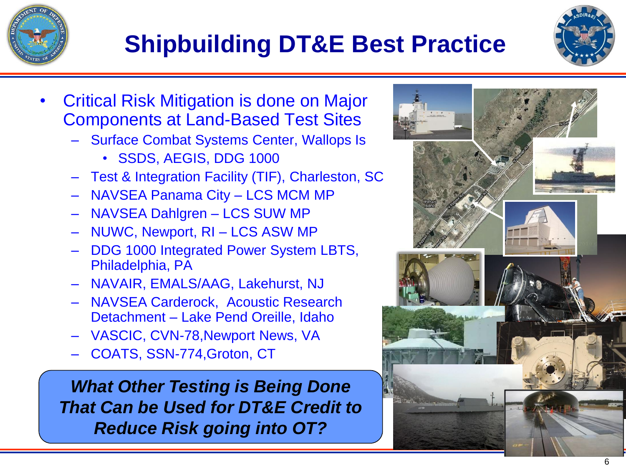## **Shipbuilding DT&E Best Practice**



- Critical Risk Mitigation is done on Major Components at Land-Based Test Sites
	- Surface Combat Systems Center, Wallops Is
		- SSDS, AEGIS, DDG 1000
	- Test & Integration Facility (TIF), Charleston, SC
	- NAVSEA Panama City LCS MCM MP
	- NAVSEA Dahlgren LCS SUW MP
	- NUWC, Newport, RI LCS ASW MP
	- DDG 1000 Integrated Power System LBTS, Philadelphia, PA
	- NAVAIR, EMALS/AAG, Lakehurst, NJ
	- NAVSEA Carderock, Acoustic Research Detachment – Lake Pend Oreille, Idaho
	- VASCIC, CVN-78,Newport News, VA
	- COATS, SSN-774,Groton, CT

*What Other Testing is Being Done That Can be Used for DT&E Credit to Reduce Risk going into OT?*

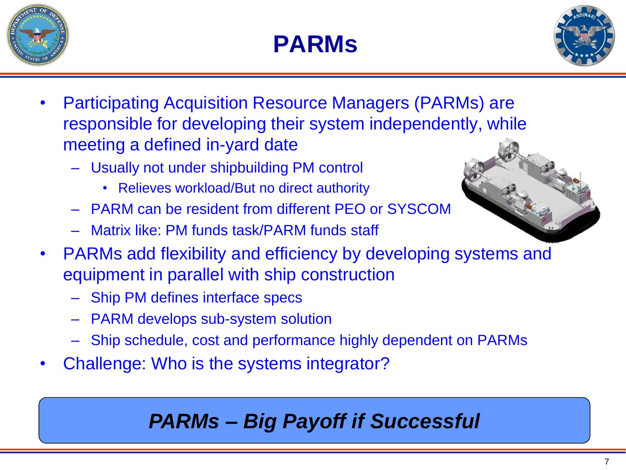





- Participating Acquisition Resource Managers (PARMs) are responsible for developing their system independently, while meeting a defined in-yard date
	- Usually not under shipbuilding PM control
		- Relieves workload/But no direct authority
	- PARM can be resident from different PEO or SYSCOM
	- Matrix like: PM funds task/PARM funds staff
- PARMs add flexibility and efficiency by developing [systems and](http://upload.wikimedia.org/wikipedia/commons/d/d2/Riedel_Ship-to-Shore_Connector_concept.png)  equipment in parallel with ship construction
	- Ship PM defines interface specs
	- PARM develops sub-system solution
	- Ship schedule, cost and performance highly dependent on PARMs
- Challenge: Who is the systems integrator?

#### *PARMs – Big Payoff if Successful*

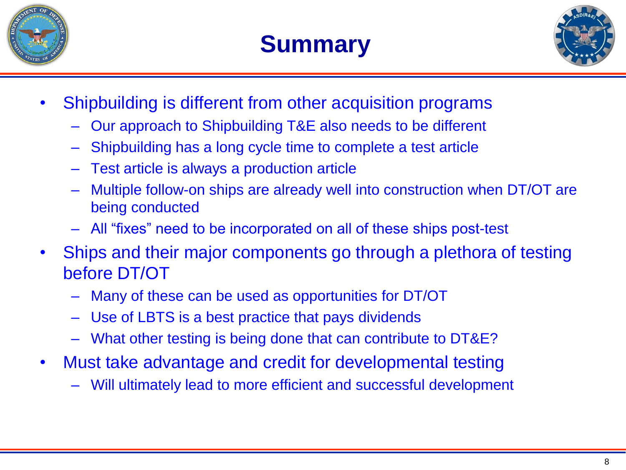





- Shipbuilding is different from other acquisition programs
	- Our approach to Shipbuilding T&E also needs to be different
	- Shipbuilding has a long cycle time to complete a test article
	- Test article is always a production article
	- Multiple follow-on ships are already well into construction when DT/OT are being conducted
	- All "fixes" need to be incorporated on all of these ships post-test
- Ships and their major components go through a plethora of testing before DT/OT
	- Many of these can be used as opportunities for DT/OT
	- Use of LBTS is a best practice that pays dividends
	- What other testing is being done that can contribute to DT&E?
- Must take advantage and credit for developmental testing
	- Will ultimately lead to more efficient and successful development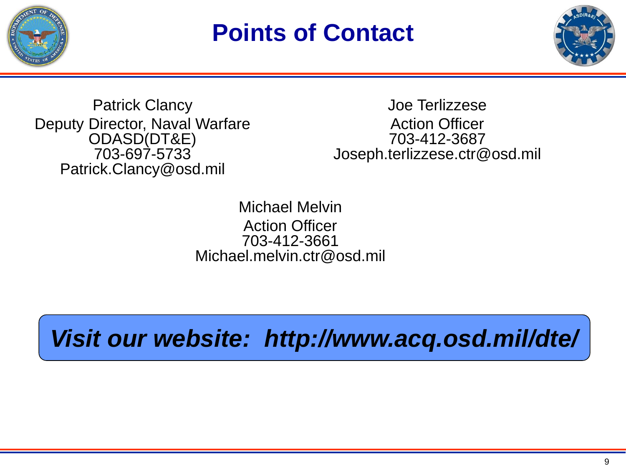

### **Points of Contact**



Patrick Clancy Deputy Director, Naval Warfare ODASD(DT&E) 703-697-5733 Patrick.Clancy@osd.mil

Joe Terlizzese Action Officer 703-412-3687 Joseph.terlizzese.ctr@osd.mil

Michael Melvin Action Officer 703-412-3661 Michael.melvin.ctr@osd.mil

*Visit our website: http://www.acq.osd.mil/dte/*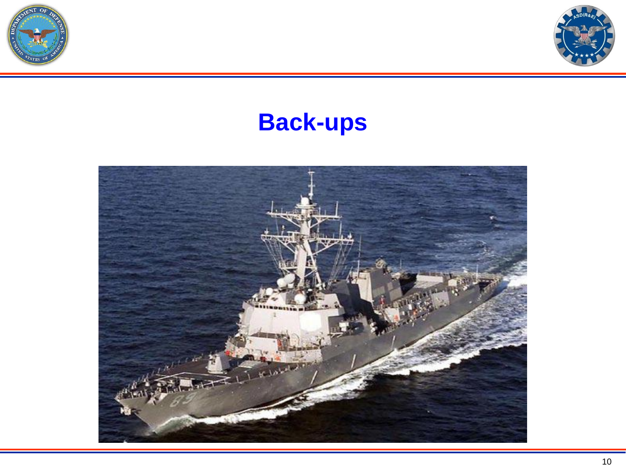



### **Back-ups**

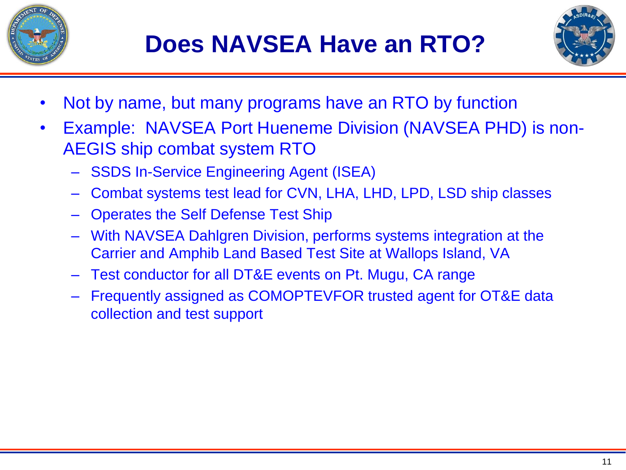



- Not by name, but many programs have an RTO by function
- Example: NAVSEA Port Hueneme Division (NAVSEA PHD) is non-AEGIS ship combat system RTO
	- SSDS In-Service Engineering Agent (ISEA)
	- Combat systems test lead for CVN, LHA, LHD, LPD, LSD ship classes
	- Operates the Self Defense Test Ship
	- With NAVSEA Dahlgren Division, performs systems integration at the Carrier and Amphib Land Based Test Site at Wallops Island, VA
	- Test conductor for all DT&E events on Pt. Mugu, CA range
	- Frequently assigned as COMOPTEVFOR trusted agent for OT&E data collection and test support